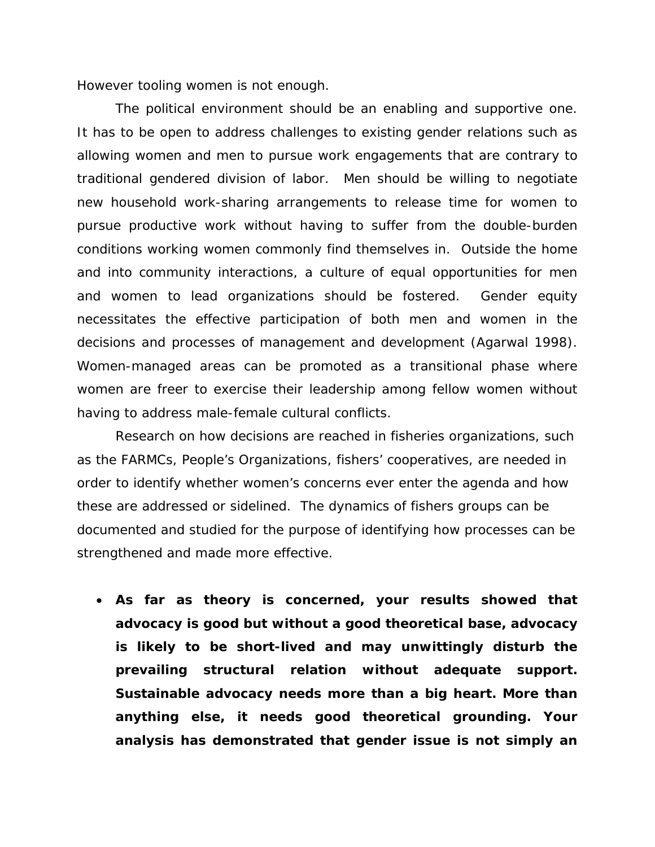However tooling women is not enough.

The political environment should be an enabling and supportive one. It has to be open to address challenges to existing gender relations such as allowing women and men to pursue work engagements that are contrary to traditional gendered division of labor. Men should be willing to negotiate new household work-sharing arrangements to release time for women to pursue productive work without having to suffer from the double-burden conditions working women commonly find themselves in. Outside the home and into community interactions, a culture of equal opportunities for men and women to lead organizations should be fostered. Gender equity necessitates the effective participation of both men and women in the decisions and processes of management and development (Agarwal 1998). Women-managed areas can be promoted as a transitional phase where women are freer to exercise their leadership among fellow women without having to address male-female cultural conflicts.

Research on how decisions are reached in fisheries organizations, such as the FARMCs, People's Organizations, fishers' cooperatives, are needed in order to identify whether women's concerns ever enter the agenda and how these are addressed or sidelined. The dynamics of fishers groups can be documented and studied for the purpose of identifying how processes can be strengthened and made more effective.

• *As far as theory is concerned, your results showed that advocacy is good but without a good theoretical base, advocacy is likely to be short-lived and may unwittingly disturb the prevailing structural relation without adequate support. Sustainable advocacy needs more than a big heart. More than anything else, it needs good theoretical grounding. Your analysis has demonstrated that gender issue is not simply an*